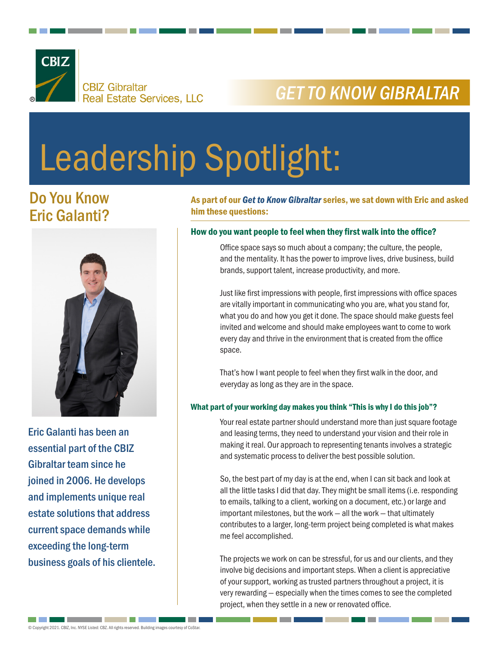

## *GET TO KNOW GIBRALTAR*

# Leadership Spotlight:

### Do You Know Eric Galanti?



Eric Galanti has been an essential part of the CBIZ Gibraltar team since he joined in 2006. He develops and implements unique real estate solutions that address current space demands while exceeding the long-term business goals of his clientele. As part of our *Get to Know Gibraltar* series, we sat down with Eric and asked him these questions:

#### How do you want people to feel when they first walk into the office?

Office space says so much about a company; the culture, the people, and the mentality. It has the power to improve lives, drive business, build brands, support talent, increase productivity, and more.

Just like first impressions with people, first impressions with office spaces are vitally important in communicating who you are, what you stand for, what you do and how you get it done. The space should make guests feel invited and welcome and should make employees want to come to work every day and thrive in the environment that is created from the office space.

That's how I want people to feel when they first walk in the door, and everyday as long as they are in the space.

#### What part of your working day makes you think "This is why I do this job"?

Your real estate partner should understand more than just square footage and leasing terms, they need to understand your vision and their role in making it real. Our approach to representing tenants involves a strategic and systematic process to deliver the best possible solution.

So, the best part of my day is at the end, when I can sit back and look at all the little tasks I did that day. They might be small items (i.e. responding to emails, talking to a client, working on a document, etc.) or large and important milestones, but the work — all the work — that ultimately contributes to a larger, long-term project being completed is what makes me feel accomplished.

The projects we work on can be stressful, for us and our clients, and they involve big decisions and important steps. When a client is appreciative of your support, working as trusted partners throughout a project, it is very rewarding — especially when the times comes to see the completed project, when they settle in a new or renovated office.

an kalendar

**Contract Contract**